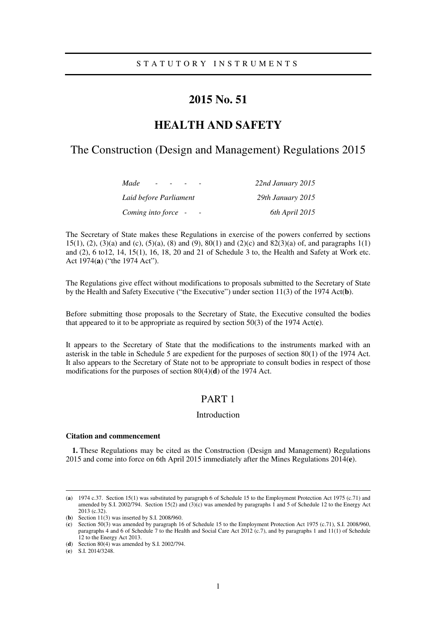# **2015 No. 51**

# **HEALTH AND SAFETY**

# The Construction (Design and Management) Regulations 2015

| Made<br>$\overline{\phantom{0}}$ | 22nd January 2015 |
|----------------------------------|-------------------|
| Laid before Parliament           | 29th January 2015 |
| Coming into force -              | 6th April 2015    |

The Secretary of State makes these Regulations in exercise of the powers conferred by sections 15(1), (2), (3)(a) and (c), (5)(a), (8) and (9), 80(1) and (2)(c) and 82(3)(a) of, and paragraphs 1(1) and (2), 6 to12, 14, 15(1), 16, 18, 20 and 21 of Schedule 3 to, the Health and Safety at Work etc. Act 1974(**a**) ("the 1974 Act").

The Regulations give effect without modifications to proposals submitted to the Secretary of State by the Health and Safety Executive ("the Executive") under section 11(3) of the 1974 Act(**b**).

Before submitting those proposals to the Secretary of State, the Executive consulted the bodies that appeared to it to be appropriate as required by section 50(3) of the 1974 Act(**c**).

It appears to the Secretary of State that the modifications to the instruments marked with an asterisk in the table in Schedule 5 are expedient for the purposes of section 80(1) of the 1974 Act. It also appears to the Secretary of State not to be appropriate to consult bodies in respect of those modifications for the purposes of section 80(4)(**d**) of the 1974 Act.

# PART 1

## Introduction

## **Citation and commencement**

**1.** These Regulations may be cited as the Construction (Design and Management) Regulations 2015 and come into force on 6th April 2015 immediately after the Mines Regulations 2014(**e**).

<u>.</u>

<sup>(</sup>**a**) 1974 c.37. Section 15(1) was substituted by paragraph 6 of Schedule 15 to the Employment Protection Act 1975 (c.71) and amended by S.I. 2002/794. Section 15(2) and (3)(c) was amended by paragraphs 1 and 5 of Schedule 12 to the Energy Act 2013 (c.32).

<sup>(</sup>**b**) Section 11(3) was inserted by S.I. 2008/960.

<sup>(</sup>**c**) Section 50(3) was amended by paragraph 16 of Schedule 15 to the Employment Protection Act 1975 (c.71), S.I. 2008/960, paragraphs 4 and 6 of Schedule 7 to the Health and Social Care Act 2012 (c.7), and by paragraphs 1 and 11(1) of Schedule 12 to the Energy Act 2013.

<sup>(</sup>**d**) Section 80(4) was amended by S.I. 2002/794.

<sup>(</sup>**e**) S.I. 2014/3248.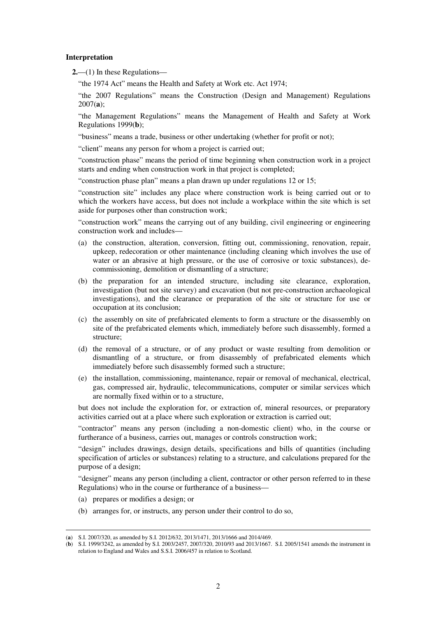#### **Interpretation**

**2.**—(1) In these Regulations—

"the 1974 Act" means the Health and Safety at Work etc. Act 1974;

"the 2007 Regulations" means the Construction (Design and Management) Regulations 2007(**a**);

"the Management Regulations" means the Management of Health and Safety at Work Regulations 1999(**b**);

"business" means a trade, business or other undertaking (whether for profit or not);

"client" means any person for whom a project is carried out;

"construction phase" means the period of time beginning when construction work in a project starts and ending when construction work in that project is completed;

"construction phase plan" means a plan drawn up under regulations 12 or 15;

"construction site" includes any place where construction work is being carried out or to which the workers have access, but does not include a workplace within the site which is set aside for purposes other than construction work;

"construction work" means the carrying out of any building, civil engineering or engineering construction work and includes—

- (a) the construction, alteration, conversion, fitting out, commissioning, renovation, repair, upkeep, redecoration or other maintenance (including cleaning which involves the use of water or an abrasive at high pressure, or the use of corrosive or toxic substances), decommissioning, demolition or dismantling of a structure;
- (b) the preparation for an intended structure, including site clearance, exploration, investigation (but not site survey) and excavation (but not pre-construction archaeological investigations), and the clearance or preparation of the site or structure for use or occupation at its conclusion;
- (c) the assembly on site of prefabricated elements to form a structure or the disassembly on site of the prefabricated elements which, immediately before such disassembly, formed a structure;
- (d) the removal of a structure, or of any product or waste resulting from demolition or dismantling of a structure, or from disassembly of prefabricated elements which immediately before such disassembly formed such a structure;
- (e) the installation, commissioning, maintenance, repair or removal of mechanical, electrical, gas, compressed air, hydraulic, telecommunications, computer or similar services which are normally fixed within or to a structure,

but does not include the exploration for, or extraction of, mineral resources, or preparatory activities carried out at a place where such exploration or extraction is carried out;

"contractor" means any person (including a non-domestic client) who, in the course or furtherance of a business, carries out, manages or controls construction work;

"design" includes drawings, design details, specifications and bills of quantities (including specification of articles or substances) relating to a structure, and calculations prepared for the purpose of a design;

"designer" means any person (including a client, contractor or other person referred to in these Regulations) who in the course or furtherance of a business—

(a) prepares or modifies a design; or

<u>.</u>

(b) arranges for, or instructs, any person under their control to do so,

<sup>(</sup>**a**) S.I. 2007/320, as amended by S.I. 2012/632, 2013/1471, 2013/1666 and 2014/469.

<sup>(</sup>**b**) S.I. 1999/3242, as amended by S.I. 2003/2457, 2007/320, 2010/93 and 2013/1667. S.I. 2005/1541 amends the instrument in relation to England and Wales and S.S.I. 2006/457 in relation to Scotland.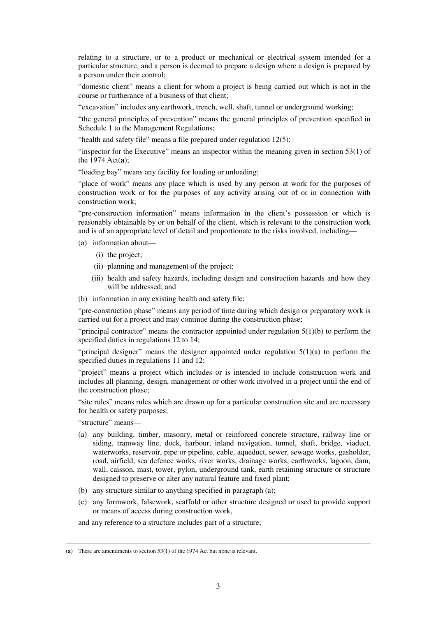relating to a structure, or to a product or mechanical or electrical system intended for a particular structure, and a person is deemed to prepare a design where a design is prepared by a person under their control;

"domestic client" means a client for whom a project is being carried out which is not in the course or furtherance of a business of that client;

"excavation" includes any earthwork, trench, well, shaft, tunnel or underground working;

"the general principles of prevention" means the general principles of prevention specified in Schedule 1 to the Management Regulations;

"health and safety file" means a file prepared under regulation 12(5);

"inspector for the Executive" means an inspector within the meaning given in section 53(1) of the 1974 Act(**a**);

"loading bay" means any facility for loading or unloading;

"place of work" means any place which is used by any person at work for the purposes of construction work or for the purposes of any activity arising out of or in connection with construction work;

"pre-construction information" means information in the client's possession or which is reasonably obtainable by or on behalf of the client, which is relevant to the construction work and is of an appropriate level of detail and proportionate to the risks involved, including—

- (a) information about—
	- (i) the project;
	- (ii) planning and management of the project;
	- (iii) health and safety hazards, including design and construction hazards and how they will be addressed; and
- (b) information in any existing health and safety file;

"pre-construction phase" means any period of time during which design or preparatory work is carried out for a project and may continue during the construction phase;

"principal contractor" means the contractor appointed under regulation  $5(1)(b)$  to perform the specified duties in regulations 12 to 14;

"principal designer" means the designer appointed under regulation  $5(1)(a)$  to perform the specified duties in regulations 11 and 12;

"project" means a project which includes or is intended to include construction work and includes all planning, design, management or other work involved in a project until the end of the construction phase;

"site rules" means rules which are drawn up for a particular construction site and are necessary for health or safety purposes;

"structure" means—

<u>.</u>

- (a) any building, timber, masonry, metal or reinforced concrete structure, railway line or siding, tramway line, dock, harbour, inland navigation, tunnel, shaft, bridge, viaduct, waterworks, reservoir, pipe or pipeline, cable, aqueduct, sewer, sewage works, gasholder, road, airfield, sea defence works, river works, drainage works, earthworks, lagoon, dam, wall, caisson, mast, tower, pylon, underground tank, earth retaining structure or structure designed to preserve or alter any natural feature and fixed plant;
- (b) any structure similar to anything specified in paragraph (a);
- (c) any formwork, falsework, scaffold or other structure designed or used to provide support or means of access during construction work,

and any reference to a structure includes part of a structure;

<sup>(</sup>**a**) There are amendments to section 53(1) of the 1974 Act but none is relevant.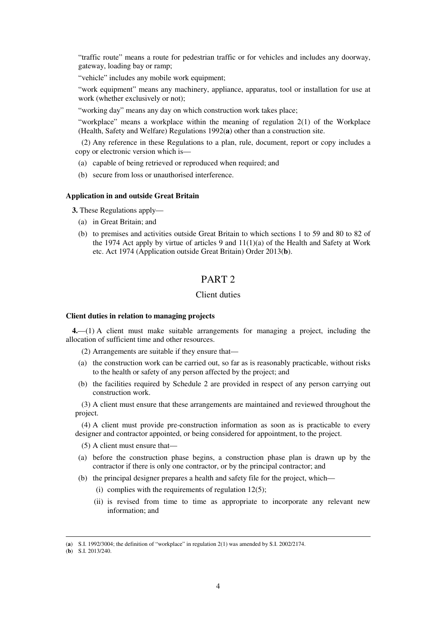"traffic route" means a route for pedestrian traffic or for vehicles and includes any doorway, gateway, loading bay or ramp;

"vehicle" includes any mobile work equipment;

"work equipment" means any machinery, appliance, apparatus, tool or installation for use at work (whether exclusively or not);

"working day" means any day on which construction work takes place;

"workplace" means a workplace within the meaning of regulation 2(1) of the Workplace (Health, Safety and Welfare) Regulations 1992(**a**) other than a construction site.

(2) Any reference in these Regulations to a plan, rule, document, report or copy includes a copy or electronic version which is—

- (a) capable of being retrieved or reproduced when required; and
- (b) secure from loss or unauthorised interference.

## **Application in and outside Great Britain**

**3.** These Regulations apply—

- (a) in Great Britain; and
- (b) to premises and activities outside Great Britain to which sections 1 to 59 and 80 to 82 of the 1974 Act apply by virtue of articles 9 and  $11(1)(a)$  of the Health and Safety at Work etc. Act 1974 (Application outside Great Britain) Order 2013(**b**).

# PART 2

# Client duties

#### **Client duties in relation to managing projects**

**4.**—(1) A client must make suitable arrangements for managing a project, including the allocation of sufficient time and other resources.

(2) Arrangements are suitable if they ensure that—

- (a) the construction work can be carried out, so far as is reasonably practicable, without risks to the health or safety of any person affected by the project; and
- (b) the facilities required by Schedule 2 are provided in respect of any person carrying out construction work.

(3) A client must ensure that these arrangements are maintained and reviewed throughout the project.

(4) A client must provide pre-construction information as soon as is practicable to every designer and contractor appointed, or being considered for appointment, to the project.

(5) A client must ensure that—

- (a) before the construction phase begins, a construction phase plan is drawn up by the contractor if there is only one contractor, or by the principal contractor; and
- (b) the principal designer prepares a health and safety file for the project, which—
	- (i) complies with the requirements of regulation  $12(5)$ ;
	- (ii) is revised from time to time as appropriate to incorporate any relevant new information; and

<u>.</u>

<sup>(</sup>**a**) S.I. 1992/3004; the definition of "workplace" in regulation 2(1) was amended by S.I. 2002/2174.

<sup>(</sup>**b**) S.I. 2013/240.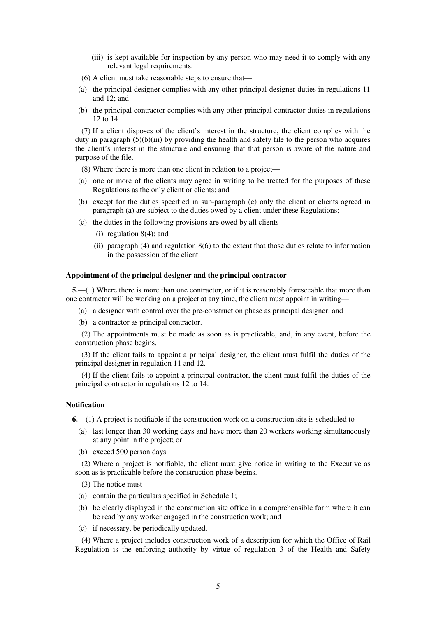- (iii) is kept available for inspection by any person who may need it to comply with any relevant legal requirements.
- (6) A client must take reasonable steps to ensure that—
- (a) the principal designer complies with any other principal designer duties in regulations 11 and 12; and
- (b) the principal contractor complies with any other principal contractor duties in regulations 12 to 14.

(7) If a client disposes of the client's interest in the structure, the client complies with the duty in paragraph  $(5)(b)(iii)$  by providing the health and safety file to the person who acquires the client's interest in the structure and ensuring that that person is aware of the nature and purpose of the file.

- (8) Where there is more than one client in relation to a project—
- (a) one or more of the clients may agree in writing to be treated for the purposes of these Regulations as the only client or clients; and
- (b) except for the duties specified in sub-paragraph (c) only the client or clients agreed in paragraph (a) are subject to the duties owed by a client under these Regulations;
- (c) the duties in the following provisions are owed by all clients—
	- (i) regulation 8(4); and
	- (ii) paragraph (4) and regulation 8(6) to the extent that those duties relate to information in the possession of the client.

#### **Appointment of the principal designer and the principal contractor**

**5.**—(1) Where there is more than one contractor, or if it is reasonably foreseeable that more than one contractor will be working on a project at any time, the client must appoint in writing—

- (a) a designer with control over the pre-construction phase as principal designer; and
- (b) a contractor as principal contractor.

(2) The appointments must be made as soon as is practicable, and, in any event, before the construction phase begins.

(3) If the client fails to appoint a principal designer, the client must fulfil the duties of the principal designer in regulation 11 and 12.

(4) If the client fails to appoint a principal contractor, the client must fulfil the duties of the principal contractor in regulations 12 to 14.

## **Notification**

**6.**—(1) A project is notifiable if the construction work on a construction site is scheduled to—

- (a) last longer than 30 working days and have more than 20 workers working simultaneously at any point in the project; or
- (b) exceed 500 person days.

(2) Where a project is notifiable, the client must give notice in writing to the Executive as soon as is practicable before the construction phase begins.

- (3) The notice must—
- (a) contain the particulars specified in Schedule 1;
- (b) be clearly displayed in the construction site office in a comprehensible form where it can be read by any worker engaged in the construction work; and
- (c) if necessary, be periodically updated.

(4) Where a project includes construction work of a description for which the Office of Rail Regulation is the enforcing authority by virtue of regulation 3 of the Health and Safety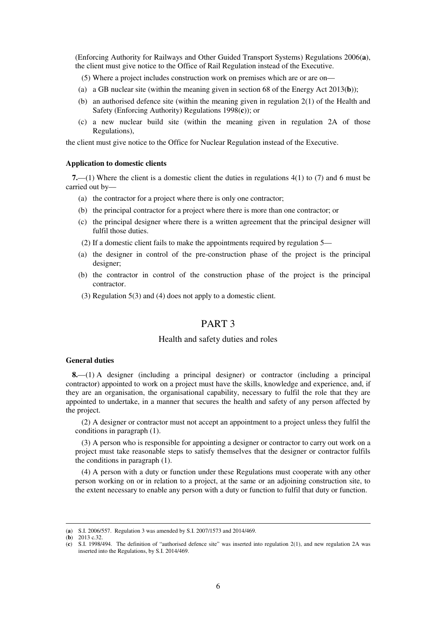(Enforcing Authority for Railways and Other Guided Transport Systems) Regulations 2006(**a**), the client must give notice to the Office of Rail Regulation instead of the Executive.

- (5) Where a project includes construction work on premises which are or are on—
- (a) a GB nuclear site (within the meaning given in section 68 of the Energy Act 2013(**b**));
- (b) an authorised defence site (within the meaning given in regulation  $2(1)$  of the Health and Safety (Enforcing Authority) Regulations 1998(**c**)); or
- (c) a new nuclear build site (within the meaning given in regulation 2A of those Regulations),

the client must give notice to the Office for Nuclear Regulation instead of the Executive.

#### **Application to domestic clients**

**7.**—(1) Where the client is a domestic client the duties in regulations 4(1) to (7) and 6 must be carried out by—

- (a) the contractor for a project where there is only one contractor;
- (b) the principal contractor for a project where there is more than one contractor; or
- (c) the principal designer where there is a written agreement that the principal designer will fulfil those duties.
- (2) If a domestic client fails to make the appointments required by regulation 5—
- (a) the designer in control of the pre-construction phase of the project is the principal designer;
- (b) the contractor in control of the construction phase of the project is the principal contractor.
- (3) Regulation 5(3) and (4) does not apply to a domestic client.

## PART 3

#### Health and safety duties and roles

#### **General duties**

**8.**—(1) A designer (including a principal designer) or contractor (including a principal contractor) appointed to work on a project must have the skills, knowledge and experience, and, if they are an organisation, the organisational capability, necessary to fulfil the role that they are appointed to undertake, in a manner that secures the health and safety of any person affected by the project.

(2) A designer or contractor must not accept an appointment to a project unless they fulfil the conditions in paragraph (1).

(3) A person who is responsible for appointing a designer or contractor to carry out work on a project must take reasonable steps to satisfy themselves that the designer or contractor fulfils the conditions in paragraph (1).

(4) A person with a duty or function under these Regulations must cooperate with any other person working on or in relation to a project, at the same or an adjoining construction site, to the extent necessary to enable any person with a duty or function to fulfil that duty or function.

<u>.</u>

<sup>(</sup>**a**) S.I. 2006/557. Regulation 3 was amended by S.I. 2007/1573 and 2014/469.

<sup>(</sup>**b**) 2013 c.32.

<sup>(</sup>**c**) S.I. 1998/494. The definition of "authorised defence site" was inserted into regulation 2(1), and new regulation 2A was inserted into the Regulations, by S.I. 2014/469.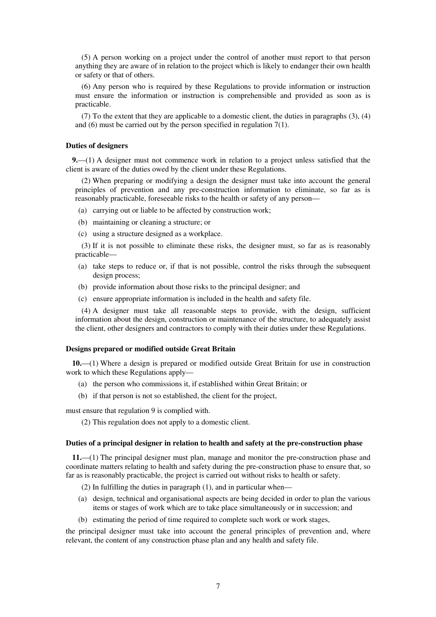(5) A person working on a project under the control of another must report to that person anything they are aware of in relation to the project which is likely to endanger their own health or safety or that of others.

(6) Any person who is required by these Regulations to provide information or instruction must ensure the information or instruction is comprehensible and provided as soon as is practicable.

(7) To the extent that they are applicable to a domestic client, the duties in paragraphs (3), (4) and (6) must be carried out by the person specified in regulation 7(1).

### **Duties of designers**

**9.**—(1) A designer must not commence work in relation to a project unless satisfied that the client is aware of the duties owed by the client under these Regulations.

(2) When preparing or modifying a design the designer must take into account the general principles of prevention and any pre-construction information to eliminate, so far as is reasonably practicable, foreseeable risks to the health or safety of any person—

- (a) carrying out or liable to be affected by construction work;
- (b) maintaining or cleaning a structure; or
- (c) using a structure designed as a workplace.

(3) If it is not possible to eliminate these risks, the designer must, so far as is reasonably practicable—

- (a) take steps to reduce or, if that is not possible, control the risks through the subsequent design process;
- (b) provide information about those risks to the principal designer; and
- (c) ensure appropriate information is included in the health and safety file.

(4) A designer must take all reasonable steps to provide, with the design, sufficient information about the design, construction or maintenance of the structure, to adequately assist the client, other designers and contractors to comply with their duties under these Regulations.

#### **Designs prepared or modified outside Great Britain**

**10.**—(1) Where a design is prepared or modified outside Great Britain for use in construction work to which these Regulations apply—

- (a) the person who commissions it, if established within Great Britain; or
- (b) if that person is not so established, the client for the project,

must ensure that regulation 9 is complied with.

(2) This regulation does not apply to a domestic client.

#### **Duties of a principal designer in relation to health and safety at the pre-construction phase**

**11.**—(1) The principal designer must plan, manage and monitor the pre-construction phase and coordinate matters relating to health and safety during the pre-construction phase to ensure that, so far as is reasonably practicable, the project is carried out without risks to health or safety.

- (2) In fulfilling the duties in paragraph (1), and in particular when—
- (a) design, technical and organisational aspects are being decided in order to plan the various items or stages of work which are to take place simultaneously or in succession; and
- (b) estimating the period of time required to complete such work or work stages,

the principal designer must take into account the general principles of prevention and, where relevant, the content of any construction phase plan and any health and safety file.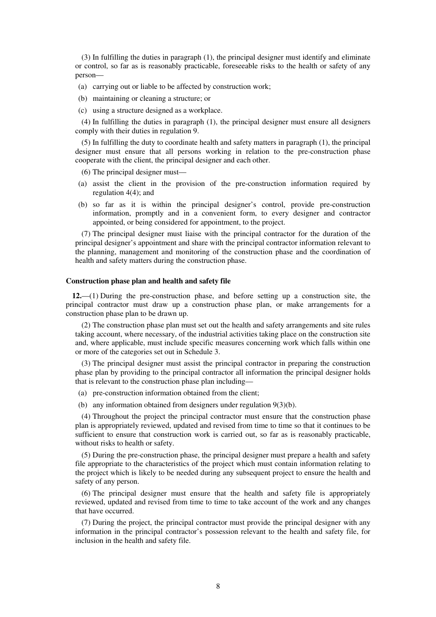(3) In fulfilling the duties in paragraph (1), the principal designer must identify and eliminate or control, so far as is reasonably practicable, foreseeable risks to the health or safety of any person—

- (a) carrying out or liable to be affected by construction work;
- (b) maintaining or cleaning a structure; or
- (c) using a structure designed as a workplace.

(4) In fulfilling the duties in paragraph (1), the principal designer must ensure all designers comply with their duties in regulation 9.

(5) In fulfilling the duty to coordinate health and safety matters in paragraph (1), the principal designer must ensure that all persons working in relation to the pre-construction phase cooperate with the client, the principal designer and each other.

(6) The principal designer must—

- (a) assist the client in the provision of the pre-construction information required by regulation 4(4); and
- (b) so far as it is within the principal designer's control, provide pre-construction information, promptly and in a convenient form, to every designer and contractor appointed, or being considered for appointment, to the project.

(7) The principal designer must liaise with the principal contractor for the duration of the principal designer's appointment and share with the principal contractor information relevant to the planning, management and monitoring of the construction phase and the coordination of health and safety matters during the construction phase.

#### **Construction phase plan and health and safety file**

**12.**—(1) During the pre-construction phase, and before setting up a construction site, the principal contractor must draw up a construction phase plan, or make arrangements for a construction phase plan to be drawn up.

(2) The construction phase plan must set out the health and safety arrangements and site rules taking account, where necessary, of the industrial activities taking place on the construction site and, where applicable, must include specific measures concerning work which falls within one or more of the categories set out in Schedule 3.

(3) The principal designer must assist the principal contractor in preparing the construction phase plan by providing to the principal contractor all information the principal designer holds that is relevant to the construction phase plan including—

- (a) pre-construction information obtained from the client;
- (b) any information obtained from designers under regulation 9(3)(b).

(4) Throughout the project the principal contractor must ensure that the construction phase plan is appropriately reviewed, updated and revised from time to time so that it continues to be sufficient to ensure that construction work is carried out, so far as is reasonably practicable, without risks to health or safety.

(5) During the pre-construction phase, the principal designer must prepare a health and safety file appropriate to the characteristics of the project which must contain information relating to the project which is likely to be needed during any subsequent project to ensure the health and safety of any person.

(6) The principal designer must ensure that the health and safety file is appropriately reviewed, updated and revised from time to time to take account of the work and any changes that have occurred.

(7) During the project, the principal contractor must provide the principal designer with any information in the principal contractor's possession relevant to the health and safety file, for inclusion in the health and safety file.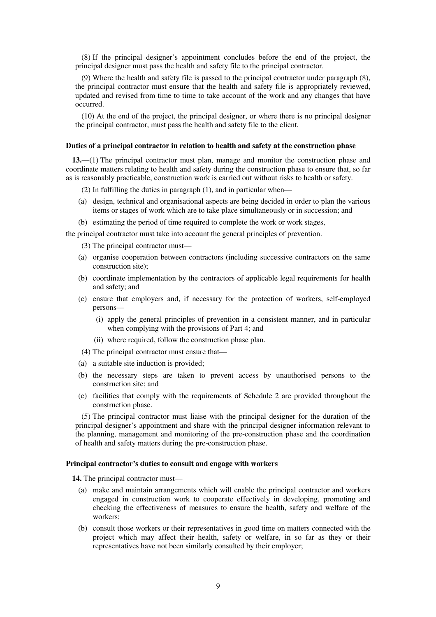(8) If the principal designer's appointment concludes before the end of the project, the principal designer must pass the health and safety file to the principal contractor.

(9) Where the health and safety file is passed to the principal contractor under paragraph (8), the principal contractor must ensure that the health and safety file is appropriately reviewed, updated and revised from time to time to take account of the work and any changes that have occurred.

(10) At the end of the project, the principal designer, or where there is no principal designer the principal contractor, must pass the health and safety file to the client.

#### **Duties of a principal contractor in relation to health and safety at the construction phase**

**13.**—(1) The principal contractor must plan, manage and monitor the construction phase and coordinate matters relating to health and safety during the construction phase to ensure that, so far as is reasonably practicable, construction work is carried out without risks to health or safety.

- (2) In fulfilling the duties in paragraph (1), and in particular when—
- (a) design, technical and organisational aspects are being decided in order to plan the various items or stages of work which are to take place simultaneously or in succession; and
- (b) estimating the period of time required to complete the work or work stages,

the principal contractor must take into account the general principles of prevention.

(3) The principal contractor must—

- (a) organise cooperation between contractors (including successive contractors on the same construction site);
- (b) coordinate implementation by the contractors of applicable legal requirements for health and safety; and
- (c) ensure that employers and, if necessary for the protection of workers, self-employed persons—
	- (i) apply the general principles of prevention in a consistent manner, and in particular when complying with the provisions of Part 4; and
	- (ii) where required, follow the construction phase plan.
- (4) The principal contractor must ensure that—
- (a) a suitable site induction is provided;
- (b) the necessary steps are taken to prevent access by unauthorised persons to the construction site; and
- (c) facilities that comply with the requirements of Schedule 2 are provided throughout the construction phase.

(5) The principal contractor must liaise with the principal designer for the duration of the principal designer's appointment and share with the principal designer information relevant to the planning, management and monitoring of the pre-construction phase and the coordination of health and safety matters during the pre-construction phase.

#### **Principal contractor's duties to consult and engage with workers**

**14.** The principal contractor must—

- (a) make and maintain arrangements which will enable the principal contractor and workers engaged in construction work to cooperate effectively in developing, promoting and checking the effectiveness of measures to ensure the health, safety and welfare of the workers;
- (b) consult those workers or their representatives in good time on matters connected with the project which may affect their health, safety or welfare, in so far as they or their representatives have not been similarly consulted by their employer;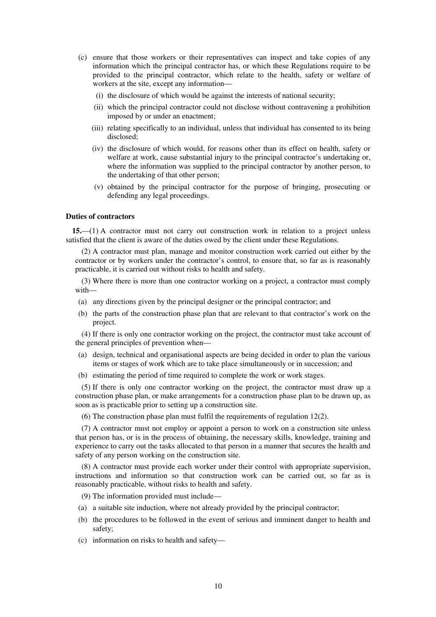- (c) ensure that those workers or their representatives can inspect and take copies of any information which the principal contractor has, or which these Regulations require to be provided to the principal contractor, which relate to the health, safety or welfare of workers at the site, except any information—
	- (i) the disclosure of which would be against the interests of national security;
	- (ii) which the principal contractor could not disclose without contravening a prohibition imposed by or under an enactment;
	- (iii) relating specifically to an individual, unless that individual has consented to its being disclosed;
	- (iv) the disclosure of which would, for reasons other than its effect on health, safety or welfare at work, cause substantial injury to the principal contractor's undertaking or, where the information was supplied to the principal contractor by another person, to the undertaking of that other person;
	- (v) obtained by the principal contractor for the purpose of bringing, prosecuting or defending any legal proceedings.

### **Duties of contractors**

**15.**—(1) A contractor must not carry out construction work in relation to a project unless satisfied that the client is aware of the duties owed by the client under these Regulations.

(2) A contractor must plan, manage and monitor construction work carried out either by the contractor or by workers under the contractor's control, to ensure that, so far as is reasonably practicable, it is carried out without risks to health and safety.

(3) Where there is more than one contractor working on a project, a contractor must comply with—

- (a) any directions given by the principal designer or the principal contractor; and
- (b) the parts of the construction phase plan that are relevant to that contractor's work on the project.

(4) If there is only one contractor working on the project, the contractor must take account of the general principles of prevention when—

- (a) design, technical and organisational aspects are being decided in order to plan the various items or stages of work which are to take place simultaneously or in succession; and
- (b) estimating the period of time required to complete the work or work stages.

(5) If there is only one contractor working on the project, the contractor must draw up a construction phase plan, or make arrangements for a construction phase plan to be drawn up, as soon as is practicable prior to setting up a construction site.

(6) The construction phase plan must fulfil the requirements of regulation 12(2).

(7) A contractor must not employ or appoint a person to work on a construction site unless that person has, or is in the process of obtaining, the necessary skills, knowledge, training and experience to carry out the tasks allocated to that person in a manner that secures the health and safety of any person working on the construction site.

(8) A contractor must provide each worker under their control with appropriate supervision, instructions and information so that construction work can be carried out, so far as is reasonably practicable, without risks to health and safety.

(9) The information provided must include—

- (a) a suitable site induction, where not already provided by the principal contractor;
- (b) the procedures to be followed in the event of serious and imminent danger to health and safety;
- (c) information on risks to health and safety—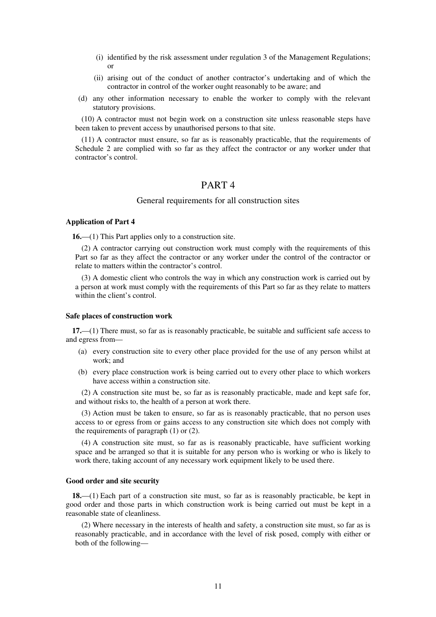- (i) identified by the risk assessment under regulation 3 of the Management Regulations; or
- (ii) arising out of the conduct of another contractor's undertaking and of which the contractor in control of the worker ought reasonably to be aware; and
- (d) any other information necessary to enable the worker to comply with the relevant statutory provisions.

(10) A contractor must not begin work on a construction site unless reasonable steps have been taken to prevent access by unauthorised persons to that site.

(11) A contractor must ensure, so far as is reasonably practicable, that the requirements of Schedule 2 are complied with so far as they affect the contractor or any worker under that contractor's control.

# PART 4

#### General requirements for all construction sites

#### **Application of Part 4**

**16.**—(1) This Part applies only to a construction site.

(2) A contractor carrying out construction work must comply with the requirements of this Part so far as they affect the contractor or any worker under the control of the contractor or relate to matters within the contractor's control.

(3) A domestic client who controls the way in which any construction work is carried out by a person at work must comply with the requirements of this Part so far as they relate to matters within the client's control.

#### **Safe places of construction work**

**17.**—(1) There must, so far as is reasonably practicable, be suitable and sufficient safe access to and egress from—

- (a) every construction site to every other place provided for the use of any person whilst at work; and
- (b) every place construction work is being carried out to every other place to which workers have access within a construction site.

(2) A construction site must be, so far as is reasonably practicable, made and kept safe for, and without risks to, the health of a person at work there.

(3) Action must be taken to ensure, so far as is reasonably practicable, that no person uses access to or egress from or gains access to any construction site which does not comply with the requirements of paragraph  $(1)$  or  $(2)$ .

(4) A construction site must, so far as is reasonably practicable, have sufficient working space and be arranged so that it is suitable for any person who is working or who is likely to work there, taking account of any necessary work equipment likely to be used there.

#### **Good order and site security**

**18.**—(1) Each part of a construction site must, so far as is reasonably practicable, be kept in good order and those parts in which construction work is being carried out must be kept in a reasonable state of cleanliness.

(2) Where necessary in the interests of health and safety, a construction site must, so far as is reasonably practicable, and in accordance with the level of risk posed, comply with either or both of the following—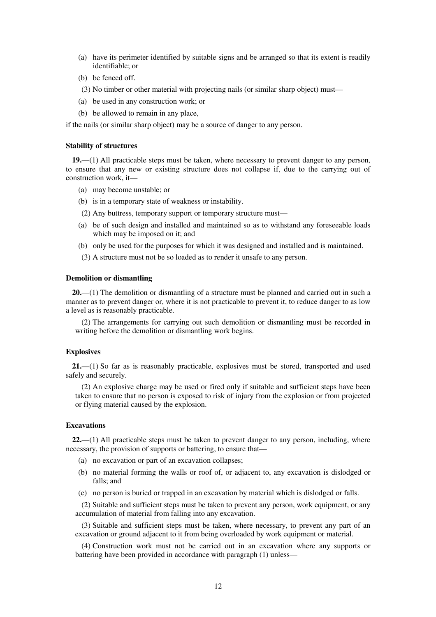- (a) have its perimeter identified by suitable signs and be arranged so that its extent is readily identifiable; or
- (b) be fenced off.
- (3) No timber or other material with projecting nails (or similar sharp object) must—
- (a) be used in any construction work; or
- (b) be allowed to remain in any place,

if the nails (or similar sharp object) may be a source of danger to any person.

#### **Stability of structures**

**19.**—(1) All practicable steps must be taken, where necessary to prevent danger to any person, to ensure that any new or existing structure does not collapse if, due to the carrying out of construction work, it—

- (a) may become unstable; or
- (b) is in a temporary state of weakness or instability.
- (2) Any buttress, temporary support or temporary structure must—
- (a) be of such design and installed and maintained so as to withstand any foreseeable loads which may be imposed on it; and
- (b) only be used for the purposes for which it was designed and installed and is maintained.
- (3) A structure must not be so loaded as to render it unsafe to any person.

#### **Demolition or dismantling**

**20.**—(1) The demolition or dismantling of a structure must be planned and carried out in such a manner as to prevent danger or, where it is not practicable to prevent it, to reduce danger to as low a level as is reasonably practicable.

(2) The arrangements for carrying out such demolition or dismantling must be recorded in writing before the demolition or dismantling work begins.

### **Explosives**

**21.**—(1) So far as is reasonably practicable, explosives must be stored, transported and used safely and securely.

(2) An explosive charge may be used or fired only if suitable and sufficient steps have been taken to ensure that no person is exposed to risk of injury from the explosion or from projected or flying material caused by the explosion.

### **Excavations**

**22.**—(1) All practicable steps must be taken to prevent danger to any person, including, where necessary, the provision of supports or battering, to ensure that—

- (a) no excavation or part of an excavation collapses;
- (b) no material forming the walls or roof of, or adjacent to, any excavation is dislodged or falls; and
- (c) no person is buried or trapped in an excavation by material which is dislodged or falls.

(2) Suitable and sufficient steps must be taken to prevent any person, work equipment, or any accumulation of material from falling into any excavation.

(3) Suitable and sufficient steps must be taken, where necessary, to prevent any part of an excavation or ground adjacent to it from being overloaded by work equipment or material.

(4) Construction work must not be carried out in an excavation where any supports or battering have been provided in accordance with paragraph (1) unless—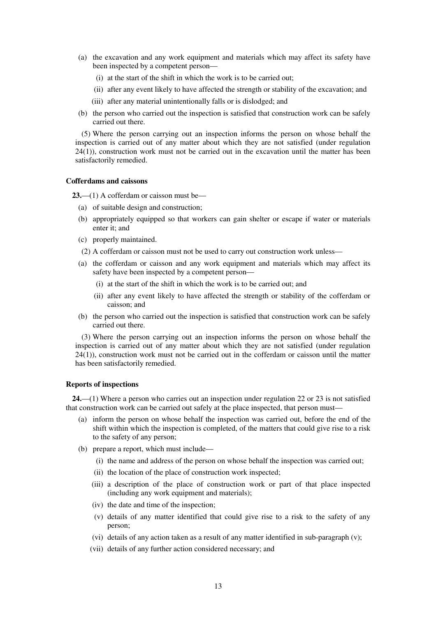- (a) the excavation and any work equipment and materials which may affect its safety have been inspected by a competent person—
	- (i) at the start of the shift in which the work is to be carried out;
	- (ii) after any event likely to have affected the strength or stability of the excavation; and
	- (iii) after any material unintentionally falls or is dislodged; and
- (b) the person who carried out the inspection is satisfied that construction work can be safely carried out there.

(5) Where the person carrying out an inspection informs the person on whose behalf the inspection is carried out of any matter about which they are not satisfied (under regulation 24(1)), construction work must not be carried out in the excavation until the matter has been satisfactorily remedied.

#### **Cofferdams and caissons**

**23.**—(1) A cofferdam or caisson must be—

- (a) of suitable design and construction;
- (b) appropriately equipped so that workers can gain shelter or escape if water or materials enter it; and
- (c) properly maintained.
- (2) A cofferdam or caisson must not be used to carry out construction work unless—
- (a) the cofferdam or caisson and any work equipment and materials which may affect its safety have been inspected by a competent person—
	- (i) at the start of the shift in which the work is to be carried out; and
	- (ii) after any event likely to have affected the strength or stability of the cofferdam or caisson; and
- (b) the person who carried out the inspection is satisfied that construction work can be safely carried out there.

(3) Where the person carrying out an inspection informs the person on whose behalf the inspection is carried out of any matter about which they are not satisfied (under regulation  $24(1)$ ), construction work must not be carried out in the cofferdam or caisson until the matter has been satisfactorily remedied.

## **Reports of inspections**

**24.**—(1) Where a person who carries out an inspection under regulation 22 or 23 is not satisfied that construction work can be carried out safely at the place inspected, that person must—

- (a) inform the person on whose behalf the inspection was carried out, before the end of the shift within which the inspection is completed, of the matters that could give rise to a risk to the safety of any person;
- (b) prepare a report, which must include—
	- (i) the name and address of the person on whose behalf the inspection was carried out;
		- (ii) the location of the place of construction work inspected;
		- (iii) a description of the place of construction work or part of that place inspected (including any work equipment and materials);
		- (iv) the date and time of the inspection;
		- (v) details of any matter identified that could give rise to a risk to the safety of any person;
		- (vi) details of any action taken as a result of any matter identified in sub-paragraph (v);
	- (vii) details of any further action considered necessary; and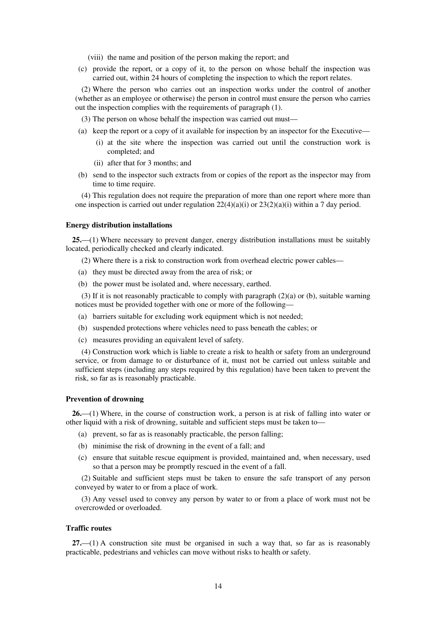(viii) the name and position of the person making the report; and

(c) provide the report, or a copy of it, to the person on whose behalf the inspection was carried out, within 24 hours of completing the inspection to which the report relates.

(2) Where the person who carries out an inspection works under the control of another (whether as an employee or otherwise) the person in control must ensure the person who carries out the inspection complies with the requirements of paragraph (1).

(3) The person on whose behalf the inspection was carried out must—

- (a) keep the report or a copy of it available for inspection by an inspector for the Executive—
	- (i) at the site where the inspection was carried out until the construction work is completed; and
	- (ii) after that for 3 months; and
- (b) send to the inspector such extracts from or copies of the report as the inspector may from time to time require.

(4) This regulation does not require the preparation of more than one report where more than one inspection is carried out under regulation 22(4)(a)(i) or 23(2)(a)(i) within a 7 day period.

## **Energy distribution installations**

**25.**—(1) Where necessary to prevent danger, energy distribution installations must be suitably located, periodically checked and clearly indicated.

- (2) Where there is a risk to construction work from overhead electric power cables—
- (a) they must be directed away from the area of risk; or
- (b) the power must be isolated and, where necessary, earthed.

(3) If it is not reasonably practicable to comply with paragraph (2)(a) or (b), suitable warning notices must be provided together with one or more of the following—

- (a) barriers suitable for excluding work equipment which is not needed;
- (b) suspended protections where vehicles need to pass beneath the cables; or
- (c) measures providing an equivalent level of safety.

(4) Construction work which is liable to create a risk to health or safety from an underground service, or from damage to or disturbance of it, must not be carried out unless suitable and sufficient steps (including any steps required by this regulation) have been taken to prevent the risk, so far as is reasonably practicable.

#### **Prevention of drowning**

**26.**—(1) Where, in the course of construction work, a person is at risk of falling into water or other liquid with a risk of drowning, suitable and sufficient steps must be taken to—

- (a) prevent, so far as is reasonably practicable, the person falling;
- (b) minimise the risk of drowning in the event of a fall; and
- (c) ensure that suitable rescue equipment is provided, maintained and, when necessary, used so that a person may be promptly rescued in the event of a fall.

(2) Suitable and sufficient steps must be taken to ensure the safe transport of any person conveyed by water to or from a place of work.

(3) Any vessel used to convey any person by water to or from a place of work must not be overcrowded or overloaded.

#### **Traffic routes**

**27.**—(1) A construction site must be organised in such a way that, so far as is reasonably practicable, pedestrians and vehicles can move without risks to health or safety.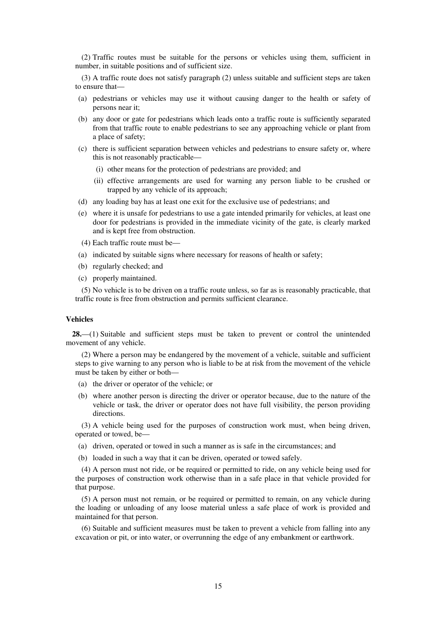(2) Traffic routes must be suitable for the persons or vehicles using them, sufficient in number, in suitable positions and of sufficient size.

(3) A traffic route does not satisfy paragraph (2) unless suitable and sufficient steps are taken to ensure that—

- (a) pedestrians or vehicles may use it without causing danger to the health or safety of persons near it;
- (b) any door or gate for pedestrians which leads onto a traffic route is sufficiently separated from that traffic route to enable pedestrians to see any approaching vehicle or plant from a place of safety;
- (c) there is sufficient separation between vehicles and pedestrians to ensure safety or, where this is not reasonably practicable—
	- (i) other means for the protection of pedestrians are provided; and
	- (ii) effective arrangements are used for warning any person liable to be crushed or trapped by any vehicle of its approach;
- (d) any loading bay has at least one exit for the exclusive use of pedestrians; and
- (e) where it is unsafe for pedestrians to use a gate intended primarily for vehicles, at least one door for pedestrians is provided in the immediate vicinity of the gate, is clearly marked and is kept free from obstruction.
- (4) Each traffic route must be—
- (a) indicated by suitable signs where necessary for reasons of health or safety;
- (b) regularly checked; and
- (c) properly maintained.

(5) No vehicle is to be driven on a traffic route unless, so far as is reasonably practicable, that traffic route is free from obstruction and permits sufficient clearance.

#### **Vehicles**

**28.**—(1) Suitable and sufficient steps must be taken to prevent or control the unintended movement of any vehicle.

(2) Where a person may be endangered by the movement of a vehicle, suitable and sufficient steps to give warning to any person who is liable to be at risk from the movement of the vehicle must be taken by either or both—

- (a) the driver or operator of the vehicle; or
- (b) where another person is directing the driver or operator because, due to the nature of the vehicle or task, the driver or operator does not have full visibility, the person providing directions.

(3) A vehicle being used for the purposes of construction work must, when being driven, operated or towed, be—

- (a) driven, operated or towed in such a manner as is safe in the circumstances; and
- (b) loaded in such a way that it can be driven, operated or towed safely.

(4) A person must not ride, or be required or permitted to ride, on any vehicle being used for the purposes of construction work otherwise than in a safe place in that vehicle provided for that purpose.

(5) A person must not remain, or be required or permitted to remain, on any vehicle during the loading or unloading of any loose material unless a safe place of work is provided and maintained for that person.

(6) Suitable and sufficient measures must be taken to prevent a vehicle from falling into any excavation or pit, or into water, or overrunning the edge of any embankment or earthwork.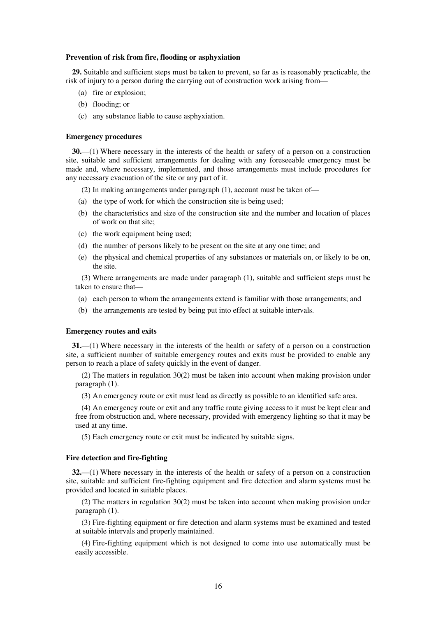#### **Prevention of risk from fire, flooding or asphyxiation**

**29.** Suitable and sufficient steps must be taken to prevent, so far as is reasonably practicable, the risk of injury to a person during the carrying out of construction work arising from—

- (a) fire or explosion;
- (b) flooding; or
- (c) any substance liable to cause asphyxiation.

#### **Emergency procedures**

**30.**—(1) Where necessary in the interests of the health or safety of a person on a construction site, suitable and sufficient arrangements for dealing with any foreseeable emergency must be made and, where necessary, implemented, and those arrangements must include procedures for any necessary evacuation of the site or any part of it.

- (2) In making arrangements under paragraph (1), account must be taken of—
- (a) the type of work for which the construction site is being used;
- (b) the characteristics and size of the construction site and the number and location of places of work on that site;
- (c) the work equipment being used;
- (d) the number of persons likely to be present on the site at any one time; and
- (e) the physical and chemical properties of any substances or materials on, or likely to be on, the site.

(3) Where arrangements are made under paragraph (1), suitable and sufficient steps must be taken to ensure that-

- (a) each person to whom the arrangements extend is familiar with those arrangements; and
- (b) the arrangements are tested by being put into effect at suitable intervals.

#### **Emergency routes and exits**

**31.**—(1) Where necessary in the interests of the health or safety of a person on a construction site, a sufficient number of suitable emergency routes and exits must be provided to enable any person to reach a place of safety quickly in the event of danger.

(2) The matters in regulation 30(2) must be taken into account when making provision under paragraph (1).

(3) An emergency route or exit must lead as directly as possible to an identified safe area.

(4) An emergency route or exit and any traffic route giving access to it must be kept clear and free from obstruction and, where necessary, provided with emergency lighting so that it may be used at any time.

(5) Each emergency route or exit must be indicated by suitable signs.

## **Fire detection and fire-fighting**

**32.**—(1) Where necessary in the interests of the health or safety of a person on a construction site, suitable and sufficient fire-fighting equipment and fire detection and alarm systems must be provided and located in suitable places.

(2) The matters in regulation 30(2) must be taken into account when making provision under paragraph (1).

(3) Fire-fighting equipment or fire detection and alarm systems must be examined and tested at suitable intervals and properly maintained.

(4) Fire-fighting equipment which is not designed to come into use automatically must be easily accessible.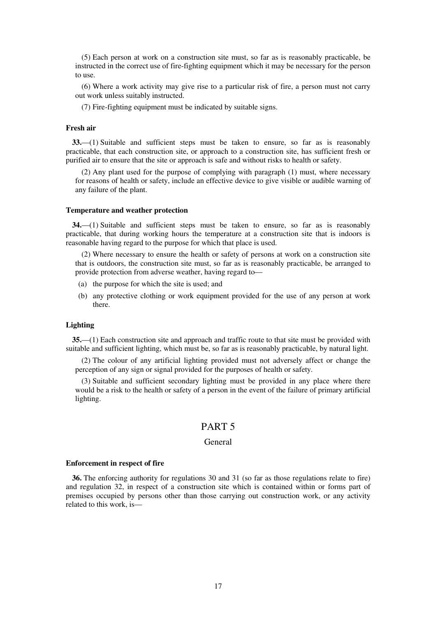(5) Each person at work on a construction site must, so far as is reasonably practicable, be instructed in the correct use of fire-fighting equipment which it may be necessary for the person to use.

(6) Where a work activity may give rise to a particular risk of fire, a person must not carry out work unless suitably instructed.

(7) Fire-fighting equipment must be indicated by suitable signs.

### **Fresh air**

**33.**—(1) Suitable and sufficient steps must be taken to ensure, so far as is reasonably practicable, that each construction site, or approach to a construction site, has sufficient fresh or purified air to ensure that the site or approach is safe and without risks to health or safety.

(2) Any plant used for the purpose of complying with paragraph (1) must, where necessary for reasons of health or safety, include an effective device to give visible or audible warning of any failure of the plant.

#### **Temperature and weather protection**

**34.**—(1) Suitable and sufficient steps must be taken to ensure, so far as is reasonably practicable, that during working hours the temperature at a construction site that is indoors is reasonable having regard to the purpose for which that place is used.

(2) Where necessary to ensure the health or safety of persons at work on a construction site that is outdoors, the construction site must, so far as is reasonably practicable, be arranged to provide protection from adverse weather, having regard to—

- (a) the purpose for which the site is used; and
- (b) any protective clothing or work equipment provided for the use of any person at work there.

## **Lighting**

**35.**—(1) Each construction site and approach and traffic route to that site must be provided with suitable and sufficient lighting, which must be, so far as is reasonably practicable, by natural light.

(2) The colour of any artificial lighting provided must not adversely affect or change the perception of any sign or signal provided for the purposes of health or safety.

(3) Suitable and sufficient secondary lighting must be provided in any place where there would be a risk to the health or safety of a person in the event of the failure of primary artificial lighting.

# PART 5

## General

#### **Enforcement in respect of fire**

**36.** The enforcing authority for regulations 30 and 31 (so far as those regulations relate to fire) and regulation 32, in respect of a construction site which is contained within or forms part of premises occupied by persons other than those carrying out construction work, or any activity related to this work, is—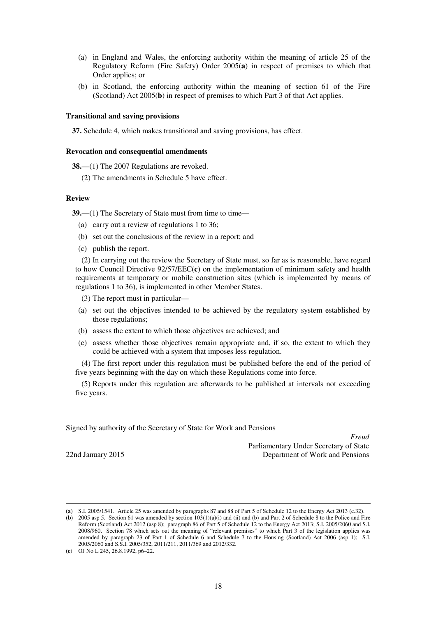- (a) in England and Wales, the enforcing authority within the meaning of article 25 of the Regulatory Reform (Fire Safety) Order 2005(**a**) in respect of premises to which that Order applies; or
- (b) in Scotland, the enforcing authority within the meaning of section 61 of the Fire (Scotland) Act 2005(**b**) in respect of premises to which Part 3 of that Act applies.

## **Transitional and saving provisions**

**37.** Schedule 4, which makes transitional and saving provisions, has effect.

#### **Revocation and consequential amendments**

**38.**—(1) The 2007 Regulations are revoked.

(2) The amendments in Schedule 5 have effect.

## **Review**

**39.**—(1) The Secretary of State must from time to time—

- (a) carry out a review of regulations 1 to 36;
- (b) set out the conclusions of the review in a report; and
- (c) publish the report.

(2) In carrying out the review the Secretary of State must, so far as is reasonable, have regard to how Council Directive 92/57/EEC(**c**) on the implementation of minimum safety and health requirements at temporary or mobile construction sites (which is implemented by means of regulations 1 to 36), is implemented in other Member States.

(3) The report must in particular—

- (a) set out the objectives intended to be achieved by the regulatory system established by those regulations;
- (b) assess the extent to which those objectives are achieved; and
- (c) assess whether those objectives remain appropriate and, if so, the extent to which they could be achieved with a system that imposes less regulation.

(4) The first report under this regulation must be published before the end of the period of five years beginning with the day on which these Regulations come into force.

(5) Reports under this regulation are afterwards to be published at intervals not exceeding five years.

Signed by authority of the Secretary of State for Work and Pensions

*Freud*  Parliamentary Under Secretary of State 22nd January 2015 **Department of Work and Pensions** 

<u>.</u>

(**a**) S.I. 2005/1541. Article 25 was amended by paragraphs 87 and 88 of Part 5 of Schedule 12 to the Energy Act 2013 (c.32). (**b**) 2005 asp 5. Section 61 was amended by section  $103(1)(a)(i)$  and (ii) and (b) and Part 2 of Schedule 8 to the Police and Fire

Reform (Scotland) Act 2012 (asp 8); paragraph 86 of Part 5 of Schedule 12 to the Energy Act 2013; S.I. 2005/2060 and S.I. 2008/960. Section 78 which sets out the meaning of "relevant premises" to which Part 3 of the legislation applies was amended by paragraph 23 of Part 1 of Schedule 6 and Schedule 7 to the Housing (Scotland) Act 2006 (asp 1); S.I. 2005/2060 and S.S.I. 2005/352, 2011/211, 2011/369 and 2012/332.

<sup>(</sup>**c**) OJ No L 245, 26.8.1992, p6–22.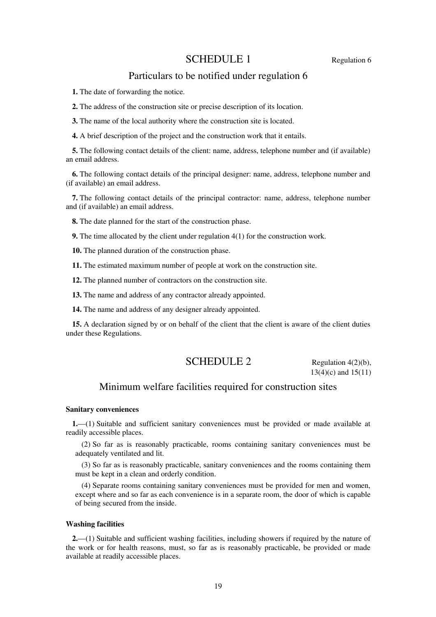# SCHEDULE 1 Regulation 6

# Particulars to be notified under regulation 6

**1.** The date of forwarding the notice.

**2.** The address of the construction site or precise description of its location.

**3.** The name of the local authority where the construction site is located.

**4.** A brief description of the project and the construction work that it entails.

**5.** The following contact details of the client: name, address, telephone number and (if available) an email address.

**6.** The following contact details of the principal designer: name, address, telephone number and (if available) an email address.

**7.** The following contact details of the principal contractor: name, address, telephone number and (if available) an email address.

**8.** The date planned for the start of the construction phase.

**9.** The time allocated by the client under regulation 4(1) for the construction work.

**10.** The planned duration of the construction phase.

**11.** The estimated maximum number of people at work on the construction site.

**12.** The planned number of contractors on the construction site.

**13.** The name and address of any contractor already appointed.

**14.** The name and address of any designer already appointed.

**15.** A declaration signed by or on behalf of the client that the client is aware of the client duties under these Regulations.

# **SCHEDULE 2** Regulation  $4(2)(b)$ ,

13(4)(c) and 15(11)

## Minimum welfare facilities required for construction sites

## **Sanitary conveniences**

**1.**—(1) Suitable and sufficient sanitary conveniences must be provided or made available at readily accessible places.

(2) So far as is reasonably practicable, rooms containing sanitary conveniences must be adequately ventilated and lit.

(3) So far as is reasonably practicable, sanitary conveniences and the rooms containing them must be kept in a clean and orderly condition.

(4) Separate rooms containing sanitary conveniences must be provided for men and women, except where and so far as each convenience is in a separate room, the door of which is capable of being secured from the inside.

#### **Washing facilities**

**2.**—(1) Suitable and sufficient washing facilities, including showers if required by the nature of the work or for health reasons, must, so far as is reasonably practicable, be provided or made available at readily accessible places.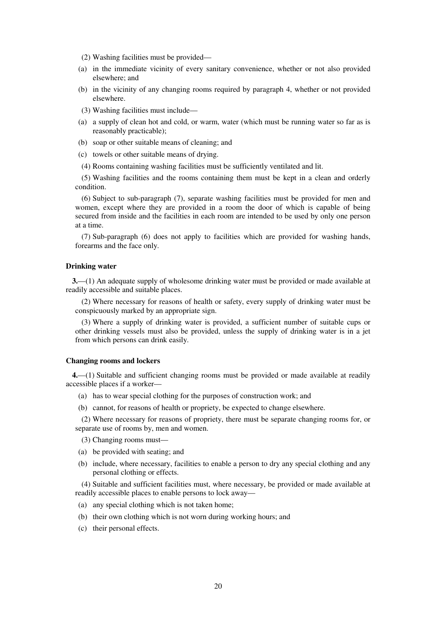- (2) Washing facilities must be provided—
- (a) in the immediate vicinity of every sanitary convenience, whether or not also provided elsewhere; and
- (b) in the vicinity of any changing rooms required by paragraph 4, whether or not provided elsewhere.
- (3) Washing facilities must include—
- (a) a supply of clean hot and cold, or warm, water (which must be running water so far as is reasonably practicable);
- (b) soap or other suitable means of cleaning; and
- (c) towels or other suitable means of drying.
- (4) Rooms containing washing facilities must be sufficiently ventilated and lit.

(5) Washing facilities and the rooms containing them must be kept in a clean and orderly condition.

(6) Subject to sub-paragraph (7), separate washing facilities must be provided for men and women, except where they are provided in a room the door of which is capable of being secured from inside and the facilities in each room are intended to be used by only one person at a time.

(7) Sub-paragraph (6) does not apply to facilities which are provided for washing hands, forearms and the face only.

#### **Drinking water**

**3.**—(1) An adequate supply of wholesome drinking water must be provided or made available at readily accessible and suitable places.

(2) Where necessary for reasons of health or safety, every supply of drinking water must be conspicuously marked by an appropriate sign.

(3) Where a supply of drinking water is provided, a sufficient number of suitable cups or other drinking vessels must also be provided, unless the supply of drinking water is in a jet from which persons can drink easily.

#### **Changing rooms and lockers**

**4.**—(1) Suitable and sufficient changing rooms must be provided or made available at readily accessible places if a worker—

- (a) has to wear special clothing for the purposes of construction work; and
- (b) cannot, for reasons of health or propriety, be expected to change elsewhere.

(2) Where necessary for reasons of propriety, there must be separate changing rooms for, or separate use of rooms by, men and women.

- (3) Changing rooms must—
- (a) be provided with seating; and
- (b) include, where necessary, facilities to enable a person to dry any special clothing and any personal clothing or effects.

(4) Suitable and sufficient facilities must, where necessary, be provided or made available at readily accessible places to enable persons to lock away—

- (a) any special clothing which is not taken home;
- (b) their own clothing which is not worn during working hours; and
- (c) their personal effects.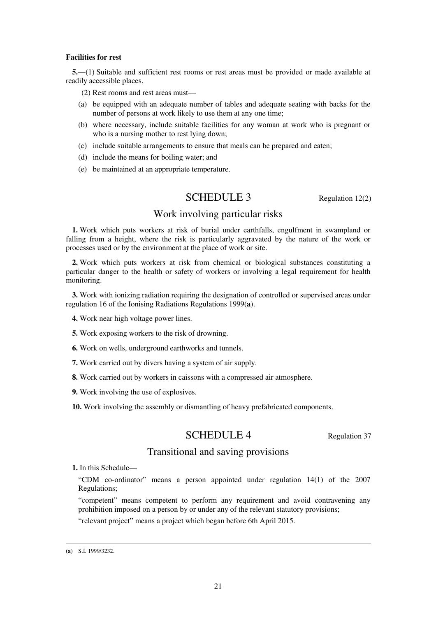### **Facilities for rest**

**5.**—(1) Suitable and sufficient rest rooms or rest areas must be provided or made available at readily accessible places.

(2) Rest rooms and rest areas must—

- (a) be equipped with an adequate number of tables and adequate seating with backs for the number of persons at work likely to use them at any one time;
- (b) where necessary, include suitable facilities for any woman at work who is pregnant or who is a nursing mother to rest lying down;
- (c) include suitable arrangements to ensure that meals can be prepared and eaten;
- (d) include the means for boiling water; and
- (e) be maintained at an appropriate temperature.

# SCHEDULE 3 Regulation 12(2)

# Work involving particular risks

**1.** Work which puts workers at risk of burial under earthfalls, engulfment in swampland or falling from a height, where the risk is particularly aggravated by the nature of the work or processes used or by the environment at the place of work or site.

**2.** Work which puts workers at risk from chemical or biological substances constituting a particular danger to the health or safety of workers or involving a legal requirement for health monitoring.

**3.** Work with ionizing radiation requiring the designation of controlled or supervised areas under regulation 16 of the Ionising Radiations Regulations 1999(**a**).

**4.** Work near high voltage power lines.

**5.** Work exposing workers to the risk of drowning.

**6.** Work on wells, underground earthworks and tunnels.

**7.** Work carried out by divers having a system of air supply.

**8.** Work carried out by workers in caissons with a compressed air atmosphere.

**9.** Work involving the use of explosives.

**10.** Work involving the assembly or dismantling of heavy prefabricated components.

# SCHEDULE 4 Regulation 37

## Transitional and saving provisions

**1.** In this Schedule—

"CDM co-ordinator" means a person appointed under regulation 14(1) of the 2007 Regulations;

"competent" means competent to perform any requirement and avoid contravening any prohibition imposed on a person by or under any of the relevant statutory provisions;

"relevant project" means a project which began before 6th April 2015.

<sup>&</sup>lt;u>.</u> (**a**) S.I. 1999/3232.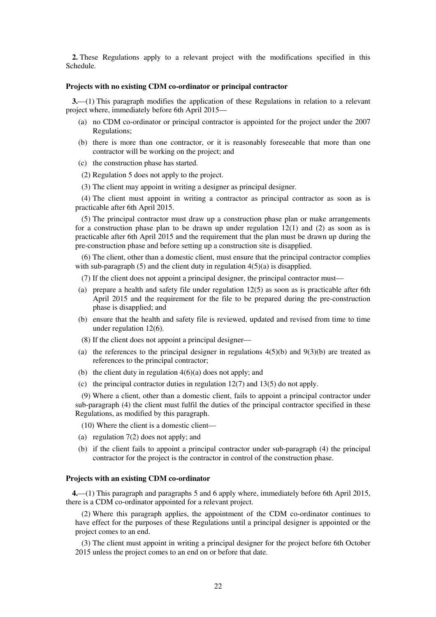**2.** These Regulations apply to a relevant project with the modifications specified in this Schedule.

#### **Projects with no existing CDM co-ordinator or principal contractor**

**3.**—(1) This paragraph modifies the application of these Regulations in relation to a relevant project where, immediately before 6th April 2015—

- (a) no CDM co-ordinator or principal contractor is appointed for the project under the 2007 Regulations;
- (b) there is more than one contractor, or it is reasonably foreseeable that more than one contractor will be working on the project; and
- (c) the construction phase has started.
- (2) Regulation 5 does not apply to the project.
- (3) The client may appoint in writing a designer as principal designer.

(4) The client must appoint in writing a contractor as principal contractor as soon as is practicable after 6th April 2015.

(5) The principal contractor must draw up a construction phase plan or make arrangements for a construction phase plan to be drawn up under regulation  $12(1)$  and  $(2)$  as soon as is practicable after 6th April 2015 and the requirement that the plan must be drawn up during the pre-construction phase and before setting up a construction site is disapplied.

(6) The client, other than a domestic client, must ensure that the principal contractor complies with sub-paragraph  $(5)$  and the client duty in regulation  $4(5)(a)$  is disapplied.

- (7) If the client does not appoint a principal designer, the principal contractor must—
- (a) prepare a health and safety file under regulation 12(5) as soon as is practicable after 6th April 2015 and the requirement for the file to be prepared during the pre-construction phase is disapplied; and
- (b) ensure that the health and safety file is reviewed, updated and revised from time to time under regulation 12(6).
- (8) If the client does not appoint a principal designer—
- (a) the references to the principal designer in regulations  $4(5)(b)$  and  $9(3)(b)$  are treated as references to the principal contractor;
- (b) the client duty in regulation  $4(6)(a)$  does not apply; and
- (c) the principal contractor duties in regulation 12(7) and 13(5) do not apply.

(9) Where a client, other than a domestic client, fails to appoint a principal contractor under sub-paragraph (4) the client must fulfil the duties of the principal contractor specified in these Regulations, as modified by this paragraph.

(10) Where the client is a domestic client—

- (a) regulation 7(2) does not apply; and
- (b) if the client fails to appoint a principal contractor under sub-paragraph (4) the principal contractor for the project is the contractor in control of the construction phase.

## **Projects with an existing CDM co-ordinator**

**4.**—(1) This paragraph and paragraphs 5 and 6 apply where, immediately before 6th April 2015, there is a CDM co-ordinator appointed for a relevant project.

(2) Where this paragraph applies, the appointment of the CDM co-ordinator continues to have effect for the purposes of these Regulations until a principal designer is appointed or the project comes to an end.

(3) The client must appoint in writing a principal designer for the project before 6th October 2015 unless the project comes to an end on or before that date.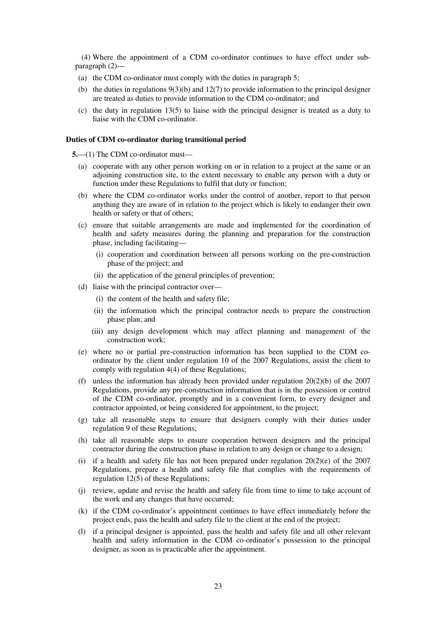(4) Where the appointment of a CDM co-ordinator continues to have effect under subparagraph (2)—

- (a) the CDM co-ordinator must comply with the duties in paragraph 5;
- (b) the duties in regulations  $9(3)(b)$  and  $12(7)$  to provide information to the principal designer are treated as duties to provide information to the CDM co-ordinator; and
- (c) the duty in regulation 13(5) to liaise with the principal designer is treated as a duty to liaise with the CDM co-ordinator.

#### **Duties of CDM co-ordinator during transitional period**

**5.**—(1) The CDM co-ordinator must—

- (a) cooperate with any other person working on or in relation to a project at the same or an adjoining construction site, to the extent necessary to enable any person with a duty or function under these Regulations to fulfil that duty or function;
- (b) where the CDM co-ordinator works under the control of another, report to that person anything they are aware of in relation to the project which is likely to endanger their own health or safety or that of others;
- (c) ensure that suitable arrangements are made and implemented for the coordination of health and safety measures during the planning and preparation for the construction phase, including facilitating—
	- (i) cooperation and coordination between all persons working on the pre-construction phase of the project; and
	- (ii) the application of the general principles of prevention;
- (d) liaise with the principal contractor over—
	- (i) the content of the health and safety file;
	- (ii) the information which the principal contractor needs to prepare the construction phase plan; and
	- (iii) any design development which may affect planning and management of the construction work;
- (e) where no or partial pre-construction information has been supplied to the CDM coordinator by the client under regulation 10 of the 2007 Regulations, assist the client to comply with regulation 4(4) of these Regulations;
- (f) unless the information has already been provided under regulation 20(2)(b) of the 2007 Regulations, provide any pre-construction information that is in the possession or control of the CDM co-ordinator, promptly and in a convenient form, to every designer and contractor appointed, or being considered for appointment, to the project;
- (g) take all reasonable steps to ensure that designers comply with their duties under regulation 9 of these Regulations;
- (h) take all reasonable steps to ensure cooperation between designers and the principal contractor during the construction phase in relation to any design or change to a design;
- (i) if a health and safety file has not been prepared under regulation  $20(2)(e)$  of the  $2007$ Regulations, prepare a health and safety file that complies with the requirements of regulation 12(5) of these Regulations;
- (j) review, update and revise the health and safety file from time to time to take account of the work and any changes that have occurred;
- (k) if the CDM co-ordinator's appointment continues to have effect immediately before the project ends, pass the health and safety file to the client at the end of the project;
- (l) if a principal designer is appointed, pass the health and safety file and all other relevant health and safety information in the CDM co-ordinator's possession to the principal designer, as soon as is practicable after the appointment.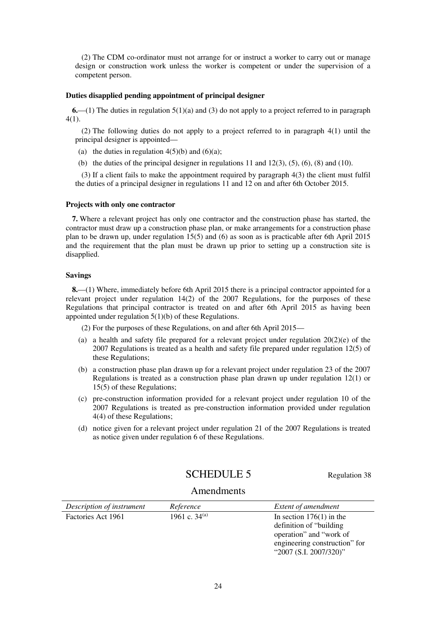(2) The CDM co-ordinator must not arrange for or instruct a worker to carry out or manage design or construction work unless the worker is competent or under the supervision of a competent person.

## **Duties disapplied pending appointment of principal designer**

**6.**—(1) The duties in regulation 5(1)(a) and (3) do not apply to a project referred to in paragraph 4(1).

(2) The following duties do not apply to a project referred to in paragraph 4(1) until the principal designer is appointed—

- (a) the duties in regulation  $4(5)(b)$  and  $(6)(a)$ ;
- (b) the duties of the principal designer in regulations  $11$  and  $12(3)$ ,  $(5)$ ,  $(6)$ ,  $(8)$  and  $(10)$ .

(3) If a client fails to make the appointment required by paragraph 4(3) the client must fulfil the duties of a principal designer in regulations 11 and 12 on and after 6th October 2015.

## **Projects with only one contractor**

**7.** Where a relevant project has only one contractor and the construction phase has started, the contractor must draw up a construction phase plan, or make arrangements for a construction phase plan to be drawn up, under regulation 15(5) and (6) as soon as is practicable after 6th April 2015 and the requirement that the plan must be drawn up prior to setting up a construction site is disapplied.

#### **Savings**

**8.**—(1) Where, immediately before 6th April 2015 there is a principal contractor appointed for a relevant project under regulation 14(2) of the 2007 Regulations, for the purposes of these Regulations that principal contractor is treated on and after 6th April 2015 as having been appointed under regulation 5(1)(b) of these Regulations.

(2) For the purposes of these Regulations, on and after 6th April 2015—

- (a) a health and safety file prepared for a relevant project under regulation  $20(2)(e)$  of the 2007 Regulations is treated as a health and safety file prepared under regulation 12(5) of these Regulations;
- (b) a construction phase plan drawn up for a relevant project under regulation 23 of the 2007 Regulations is treated as a construction phase plan drawn up under regulation 12(1) or 15(5) of these Regulations;
- (c) pre-construction information provided for a relevant project under regulation 10 of the 2007 Regulations is treated as pre-construction information provided under regulation 4(4) of these Regulations;
- (d) notice given for a relevant project under regulation 21 of the 2007 Regulations is treated as notice given under regulation 6 of these Regulations.

SCHEDULE 5 Regulation 38

## Amendments

| Description of instrument | Reference          | <b>Extent of amendment</b>    |
|---------------------------|--------------------|-------------------------------|
| Factories Act 1961        | 1961 c. $34^{(a)}$ | In section $176(1)$ in the    |
|                           |                    | definition of "building"      |
|                           |                    | operation" and "work of       |
|                           |                    | engineering construction" for |
|                           |                    | "2007 (S.I. 2007/320)"        |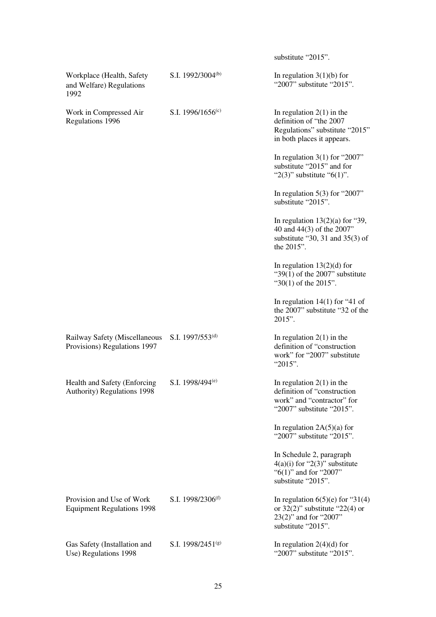|                                                                |                               | substitute "2015".                                                                                                     |
|----------------------------------------------------------------|-------------------------------|------------------------------------------------------------------------------------------------------------------------|
| Workplace (Health, Safety<br>and Welfare) Regulations<br>1992  | S.I. 1992/3004 <sup>(b)</sup> | In regulation $3(1)(b)$ for<br>"2007" substitute "2015".                                                               |
| Work in Compressed Air<br>Regulations 1996                     | S.I. 1996/1656 <sup>(c)</sup> | In regulation $2(1)$ in the<br>definition of "the 2007<br>Regulations" substitute "2015"<br>in both places it appears. |
|                                                                |                               | In regulation $3(1)$ for "2007"<br>substitute "2015" and for<br>" $2(3)$ " substitute " $6(1)$ ".                      |
|                                                                |                               | In regulation $5(3)$ for "2007"<br>substitute "2015".                                                                  |
|                                                                |                               | In regulation $13(2)(a)$ for "39,<br>40 and 44(3) of the 2007"<br>substitute "30, 31 and $35(3)$ of<br>the 2015".      |
|                                                                |                               | In regulation $13(2)(d)$ for<br>" $39(1)$ of the 2007" substitute<br>"30(1) of the 2015".                              |
|                                                                |                               | In regulation $14(1)$ for "41 of<br>the 2007" substitute "32 of the<br>2015".                                          |
| Railway Safety (Miscellaneous<br>Provisions) Regulations 1997  | S.I. 1997/553 <sup>(d)</sup>  | In regulation $2(1)$ in the<br>definition of "construction<br>work" for "2007" substitute<br>"2015".                   |
| Health and Safety (Enforcing<br>Authority) Regulations 1998    | S.I. 1998/494 <sup>(e)</sup>  | In regulation $2(1)$ in the<br>definition of "construction<br>work" and "contractor" for<br>"2007" substitute "2015".  |
|                                                                |                               | In regulation $2A(5)(a)$ for<br>"2007" substitute "2015".                                                              |
|                                                                |                               | In Schedule 2, paragraph<br>$4(a)(i)$ for "2(3)" substitute<br>" $6(1)$ " and for "2007"<br>substitute "2015".         |
| Provision and Use of Work<br><b>Equipment Regulations 1998</b> | S.I. $1998/2306^{(f)}$        | In regulation $6(5)(e)$ for "31(4)<br>or $32(2)$ " substitute "22(4) or<br>23(2)" and for "2007"<br>substitute "2015". |
| Gas Safety (Installation and<br>Use) Regulations 1998          | S.I. 1998/2451 $($ g)         | In regulation $2(4)(d)$ for<br>"2007" substitute "2015".                                                               |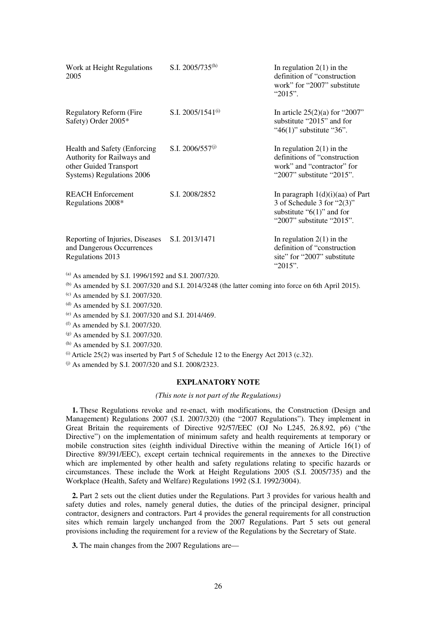| Work at Height Regulations<br>2005                                                                                 | S.I. $2005/735^{(h)}$  | In regulation $2(1)$ in the<br>definition of "construction"<br>work" for "2007" substitute<br>"2015".                              |
|--------------------------------------------------------------------------------------------------------------------|------------------------|------------------------------------------------------------------------------------------------------------------------------------|
| <b>Regulatory Reform (Fire</b><br>Safety) Order 2005*                                                              | S.I. $2005/1541^{(i)}$ | In article $25(2)(a)$ for "2007"<br>substitute "2015" and for<br>"46(1)" substitute "36".                                          |
| Health and Safety (Enforcing)<br>Authority for Railways and<br>other Guided Transport<br>Systems) Regulations 2006 | S.I. 2006/557 $(i)$    | In regulation $2(1)$ in the<br>definitions of "construction"<br>work" and "contractor" for<br>"2007" substitute "2015".            |
| <b>REACH</b> Enforcement<br>Regulations 2008*                                                                      | S.I. 2008/2852         | In paragraph $1(d)(i)(aa)$ of Part<br>3 of Schedule 3 for " $2(3)$ "<br>substitute " $6(1)$ " and for<br>"2007" substitute "2015". |
| Reporting of Injuries, Diseases S.I. 2013/1471<br>and Dangerous Occurrences<br>Regulations 2013                    |                        | In regulation $2(1)$ in the<br>definition of "construction<br>site" for "2007" substitute<br>"2015".                               |

(a) As amended by S.I. 1996/1592 and S.I. 2007/320.

 $^{(b)}$  As amended by S.I. 2007/320 and S.I. 2014/3248 (the latter coming into force on 6th April 2015).

 $(c)$  As amended by S.I. 2007/320.

 $^{(d)}$  As amended by S.I. 2007/320.

(e) As amended by S.I. 2007/320 and S.I. 2014/469.

 $(6)$  As amended by S.I. 2007/320.

 $(9)$  As amended by S.I. 2007/320.

 $(h)$  As amended by S.I. 2007/320.

 $^{(i)}$  Article 25(2) was inserted by Part 5 of Schedule 12 to the Energy Act 2013 (c.32).

(j) As amended by S.I. 2007/320 and S.I. 2008/2323.

### **EXPLANATORY NOTE**

*(This note is not part of the Regulations)* 

**1.** These Regulations revoke and re-enact, with modifications, the Construction (Design and Management) Regulations 2007 (S.I. 2007/320) (the "2007 Regulations"). They implement in Great Britain the requirements of Directive 92/57/EEC (OJ No L245, 26.8.92, p6) ("the Directive") on the implementation of minimum safety and health requirements at temporary or mobile construction sites (eighth individual Directive within the meaning of Article 16(1) of Directive 89/391/EEC), except certain technical requirements in the annexes to the Directive which are implemented by other health and safety regulations relating to specific hazards or circumstances. These include the Work at Height Regulations 2005 (S.I. 2005/735) and the Workplace (Health, Safety and Welfare) Regulations 1992 (S.I. 1992/3004).

**2.** Part 2 sets out the client duties under the Regulations. Part 3 provides for various health and safety duties and roles, namely general duties, the duties of the principal designer, principal contractor, designers and contractors. Part 4 provides the general requirements for all construction sites which remain largely unchanged from the 2007 Regulations. Part 5 sets out general provisions including the requirement for a review of the Regulations by the Secretary of State.

**3.** The main changes from the 2007 Regulations are—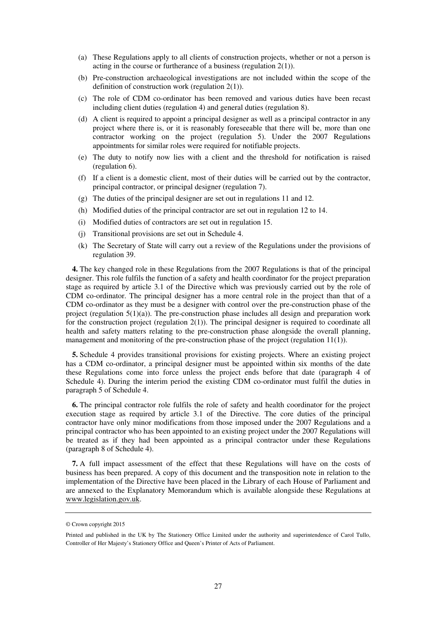- (a) These Regulations apply to all clients of construction projects, whether or not a person is acting in the course or furtherance of a business (regulation 2(1)).
- (b) Pre-construction archaeological investigations are not included within the scope of the definition of construction work (regulation 2(1)).
- (c) The role of CDM co-ordinator has been removed and various duties have been recast including client duties (regulation 4) and general duties (regulation 8).
- (d) A client is required to appoint a principal designer as well as a principal contractor in any project where there is, or it is reasonably foreseeable that there will be, more than one contractor working on the project (regulation 5). Under the 2007 Regulations appointments for similar roles were required for notifiable projects.
- (e) The duty to notify now lies with a client and the threshold for notification is raised (regulation 6).
- (f) If a client is a domestic client, most of their duties will be carried out by the contractor, principal contractor, or principal designer (regulation 7).
- (g) The duties of the principal designer are set out in regulations 11 and 12.
- (h) Modified duties of the principal contractor are set out in regulation 12 to 14.
- (i) Modified duties of contractors are set out in regulation 15.
- (j) Transitional provisions are set out in Schedule 4.
- (k) The Secretary of State will carry out a review of the Regulations under the provisions of regulation 39.

**4.** The key changed role in these Regulations from the 2007 Regulations is that of the principal designer. This role fulfils the function of a safety and health coordinator for the project preparation stage as required by article 3.1 of the Directive which was previously carried out by the role of CDM co-ordinator. The principal designer has a more central role in the project than that of a CDM co-ordinator as they must be a designer with control over the pre-construction phase of the project (regulation  $5(1)(a)$ ). The pre-construction phase includes all design and preparation work for the construction project (regulation 2(1)). The principal designer is required to coordinate all health and safety matters relating to the pre-construction phase alongside the overall planning, management and monitoring of the pre-construction phase of the project (regulation 11(1)).

**5.** Schedule 4 provides transitional provisions for existing projects. Where an existing project has a CDM co-ordinator, a principal designer must be appointed within six months of the date these Regulations come into force unless the project ends before that date (paragraph 4 of Schedule 4). During the interim period the existing CDM co-ordinator must fulfil the duties in paragraph 5 of Schedule 4.

**6.** The principal contractor role fulfils the role of safety and health coordinator for the project execution stage as required by article 3.1 of the Directive. The core duties of the principal contractor have only minor modifications from those imposed under the 2007 Regulations and a principal contractor who has been appointed to an existing project under the 2007 Regulations will be treated as if they had been appointed as a principal contractor under these Regulations (paragraph 8 of Schedule 4).

**7.** A full impact assessment of the effect that these Regulations will have on the costs of business has been prepared. A copy of this document and the transposition note in relation to the implementation of the Directive have been placed in the Library of each House of Parliament and are annexed to the Explanatory Memorandum which is available alongside these Regulations at www.legislation.gov.uk.

<sup>©</sup> Crown copyright 2015

Printed and published in the UK by The Stationery Office Limited under the authority and superintendence of Carol Tullo, Controller of Her Majesty's Stationery Office and Queen's Printer of Acts of Parliament.